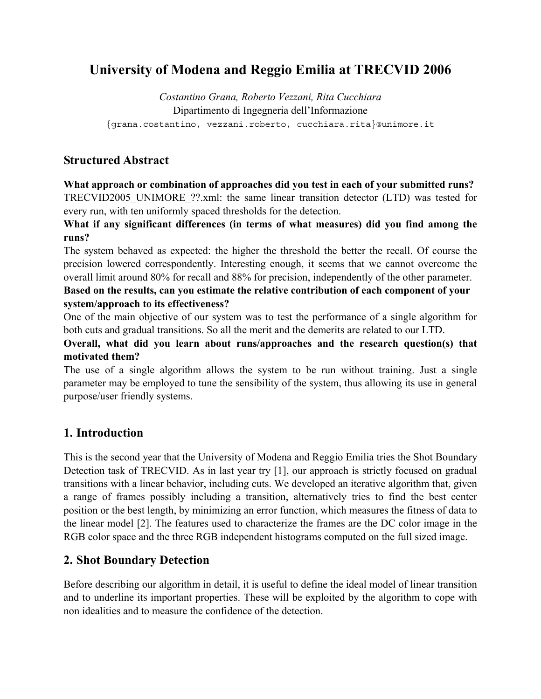# **University of Modena and Reggio Emilia at TRECVID 2006**

*Costantino Grana, Roberto Vezzani, Rita Cucchiara*  Dipartimento di Ingegneria dell'Informazione {grana.costantino, vezzani.roberto, cucchiara.rita}@unimore.it

# **Structured Abstract**

### **What approach or combination of approaches did you test in each of your submitted runs?**

TRECVID2005\_UNIMORE\_??.xml: the same linear transition detector (LTD) was tested for every run, with ten uniformly spaced thresholds for the detection.

**What if any significant differences (in terms of what measures) did you find among the runs?** 

The system behaved as expected: the higher the threshold the better the recall. Of course the precision lowered correspondently. Interesting enough, it seems that we cannot overcome the overall limit around 80% for recall and 88% for precision, independently of the other parameter.

## **Based on the results, can you estimate the relative contribution of each component of your system/approach to its effectiveness?**

One of the main objective of our system was to test the performance of a single algorithm for both cuts and gradual transitions. So all the merit and the demerits are related to our LTD.

## **Overall, what did you learn about runs/approaches and the research question(s) that motivated them?**

The use of a single algorithm allows the system to be run without training. Just a single parameter may be employed to tune the sensibility of the system, thus allowing its use in general purpose/user friendly systems.

# **1. Introduction**

This is the second year that the University of Modena and Reggio Emilia tries the Shot Boundary Detection task of TRECVID. As in last year try [1], our approach is strictly focused on gradual transitions with a linear behavior, including cuts. We developed an iterative algorithm that, given a range of frames possibly including a transition, alternatively tries to find the best center position or the best length, by minimizing an error function, which measures the fitness of data to the linear model [2]. The features used to characterize the frames are the DC color image in the RGB color space and the three RGB independent histograms computed on the full sized image.

# **2. Shot Boundary Detection**

Before describing our algorithm in detail, it is useful to define the ideal model of linear transition and to underline its important properties. These will be exploited by the algorithm to cope with non idealities and to measure the confidence of the detection.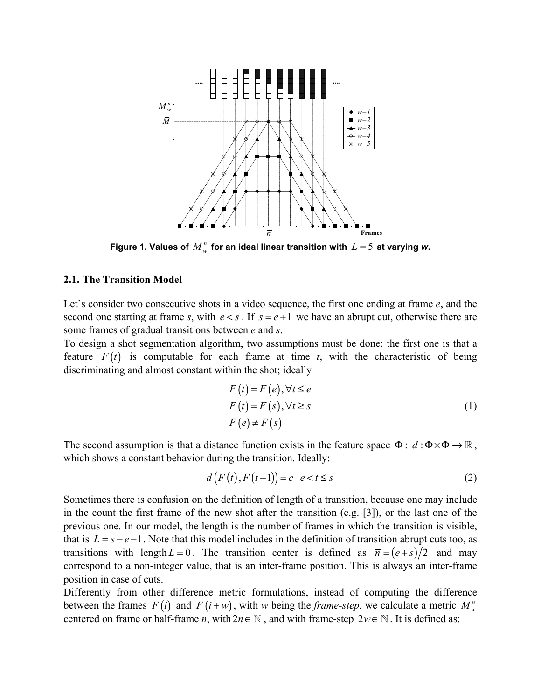

**Figure 1. Values of**  $M_w^n$  **for an ideal linear transition with**  $L = 5$  **at varying w.** 

#### **2.1. The Transition Model**

Let's consider two consecutive shots in a video sequence, the first one ending at frame *e*, and the second one starting at frame *s*, with  $e \leq s$ . If  $s = e + 1$  we have an abrupt cut, otherwise there are some frames of gradual transitions between *e* and *s*.

To design a shot segmentation algorithm, two assumptions must be done: the first one is that a feature  $F(t)$  is computable for each frame at time  $t$ , with the characteristic of being discriminating and almost constant within the shot; ideally

$$
F(t) = F(e), \forall t \le e
$$
  
\n
$$
F(t) = F(s), \forall t \ge s
$$
  
\n
$$
F(e) \ne F(s)
$$
\n(1)

The second assumption is that a distance function exists in the feature space  $\Phi$ :  $d : \Phi \times \Phi \to \mathbb{R}$ , which shows a constant behavior during the transition. Ideally:

$$
d(F(t), F(t-1)) = c \quad e < t \le s \tag{2}
$$

Sometimes there is confusion on the definition of length of a transition, because one may include in the count the first frame of the new shot after the transition (e.g. [3]), or the last one of the previous one. In our model, the length is the number of frames in which the transition is visible, that is  $L = s - e - 1$ . Note that this model includes in the definition of transition abrupt cuts too, as transitions with length  $L = 0$ . The transition center is defined as  $\bar{n} = (e+s)/2$  and may correspond to a non-integer value, that is an inter-frame position. This is always an inter-frame position in case of cuts.

Differently from other difference metric formulations, instead of computing the difference between the frames  $F(i)$  and  $F(i+w)$ , with *w* being the *frame-step*, we calculate a metric  $M_w^n$ centered on frame or half-frame *n*, with  $2n \in \mathbb{N}$ , and with frame-step  $2w \in \mathbb{N}$ . It is defined as: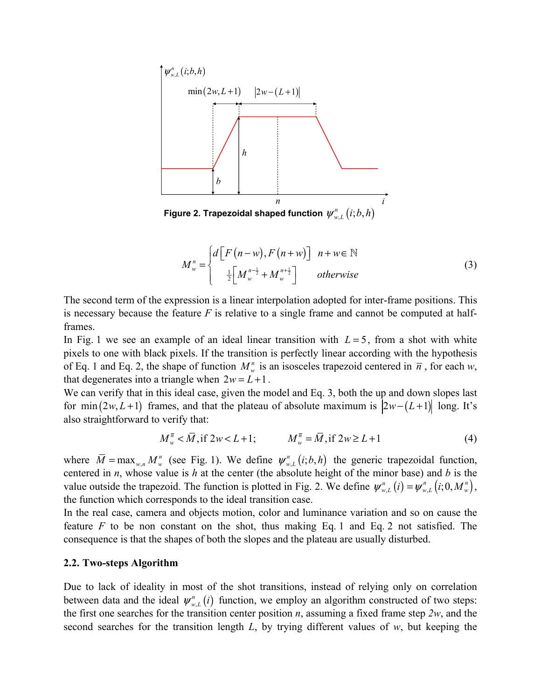

$$
M_w^n = \begin{cases} d\left[F\left(n - w\right), F\left(n + w\right)\right] & n + w \in \mathbb{N} \\ \frac{1}{2} \left[M_w^{n - \frac{1}{2}} + M_w^{n + \frac{1}{2}}\right] & otherwise \end{cases}
$$
 (3)

The second term of the expression is a linear interpolation adopted for inter-frame positions. This is necessary because the feature *F* is relative to a single frame and cannot be computed at halfframes.

In Fig. 1 we see an example of an ideal linear transition with  $L = 5$ , from a shot with white pixels to one with black pixels. If the transition is perfectly linear according with the hypothesis of Eq. 1 and Eq. 2, the shape of function  $M_w^n$  is an isosceles trapezoid centered in  $\overline{n}$ , for each *w*, that degenerates into a triangle when  $2w = L + 1$ .

We can verify that in this ideal case, given the model and Eq. 3, both the up and down slopes last for min  $(2w, L+1)$  frames, and that the plateau of absolute maximum is  $|2w-(L+1)|$  long. It's also straightforward to verify that:

$$
M_{w}^{\bar{n}} < \bar{M}, \text{if } 2w < L+1; \qquad M_{w}^{\bar{n}} = \bar{M}, \text{if } 2w \ge L+1 \tag{4}
$$

where  $\overline{M} = \max_{w,n} M_w^n$  (see Fig. 1). We define  $\psi_{w,L}^n(i; b, h)$  the generic trapezoidal function, centered in *n*, whose value is *h* at the center (the absolute height of the minor base) and *b* is the value outside the trapezoid. The function is plotted in Fig. 2. We define  $\psi_{w,L}^n(i) = \psi_{w,L}^n(i;0,M_w^n)$ , the function which corresponds to the ideal transition case.

In the real case, camera and objects motion, color and luminance variation and so on cause the feature *F* to be non constant on the shot, thus making Eq. 1 and Eq. 2 not satisfied. The consequence is that the shapes of both the slopes and the plateau are usually disturbed.

#### **2.2. Two-steps Algorithm**

Due to lack of ideality in most of the shot transitions, instead of relying only on correlation between data and the ideal  $\psi_{w,L}^n(i)$  function, we employ an algorithm constructed of two steps: the first one searches for the transition center position *n*, assuming a fixed frame step *2w*, and the second searches for the transition length *L*, by trying different values of *w*, but keeping the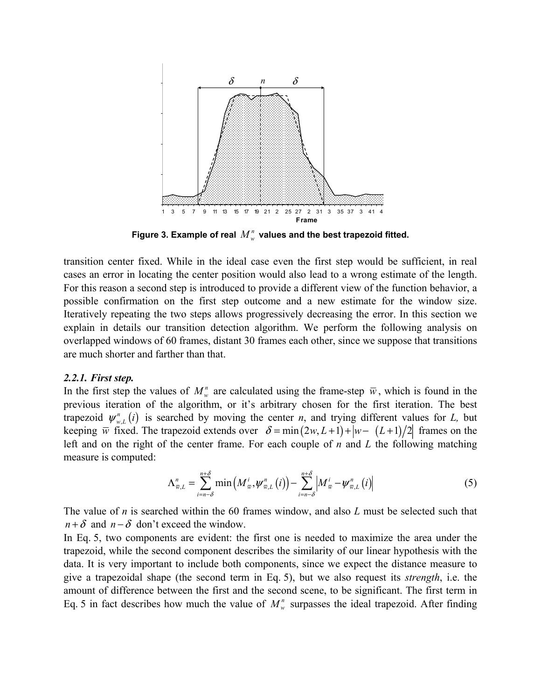

Figure 3. Example of real  $M_w^n$  values and the best trapezoid fitted.

transition center fixed. While in the ideal case even the first step would be sufficient, in real cases an error in locating the center position would also lead to a wrong estimate of the length. For this reason a second step is introduced to provide a different view of the function behavior, a possible confirmation on the first step outcome and a new estimate for the window size. Iteratively repeating the two steps allows progressively decreasing the error. In this section we explain in details our transition detection algorithm. We perform the following analysis on overlapped windows of 60 frames, distant 30 frames each other, since we suppose that transitions are much shorter and farther than that.

#### *2.2.1. First step.*

In the first step the values of  $M_w^n$  are calculated using the frame-step  $\bar{w}$ , which is found in the previous iteration of the algorithm, or it's arbitrary chosen for the first iteration. The best trapezoid  $\psi_{w,L}^n(i)$  is searched by moving the center *n*, and trying different values for *L*, but keeping  $\overline{w}$  fixed. The trapezoid extends over  $\delta = \min(2w, L+1) + |w - (L+1)/2|$  frames on the left and on the right of the center frame. For each couple of *n* and *L* the following matching measure is computed:

$$
\Lambda_{\overline{w},L}^{n} = \sum_{i=n-\delta}^{n+\delta} \min\left(M_{\overline{w}}^{i}, \psi_{\overline{w},L}^{n}(i)\right) - \sum_{i=n-\delta}^{n+\delta} \left|M_{\overline{w}}^{i} - \psi_{\overline{w},L}^{n}(i)\right| \tag{5}
$$

The value of *n* is searched within the 60 frames window, and also *L* must be selected such that  $n + \delta$  and  $n - \delta$  don't exceed the window.

In Eq. 5, two components are evident: the first one is needed to maximize the area under the trapezoid, while the second component describes the similarity of our linear hypothesis with the data. It is very important to include both components, since we expect the distance measure to give a trapezoidal shape (the second term in Eq. 5), but we also request its *strength*, i.e. the amount of difference between the first and the second scene, to be significant. The first term in Eq. 5 in fact describes how much the value of  $M_w^n$  surpasses the ideal trapezoid. After finding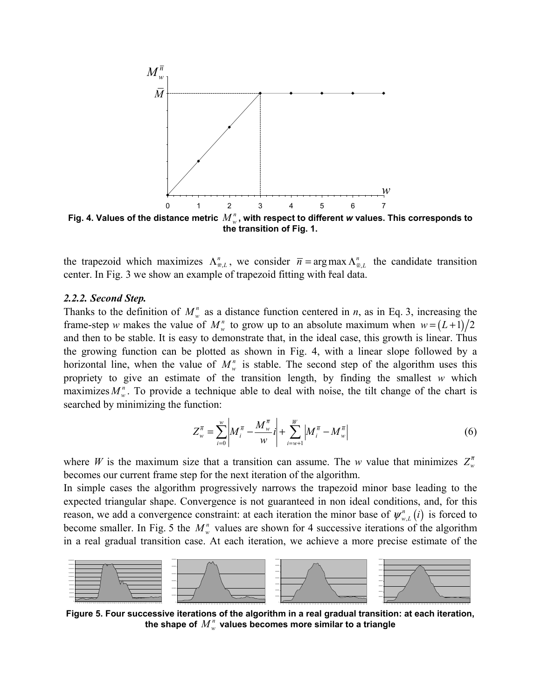

**the transition of Fig. 1.** 

the trapezoid which maximizes  $\Lambda_{\overline{w},L}^n$ , we consider  $\overline{n} = \arg \max \Lambda_{\overline{w},L}^n$  the candidate transition contex In Fig. 3 we show an example of transposid fitting with real data center. In Fig. 3 we show an example of trapezoid fitting with real data.

#### *2.2.2. Second Step.*

Thanks to the definition of  $M_w^n$  as a distance function centered in *n*, as in Eq. 3, increasing the frame-step *w* makes the value of  $M_w^n$  to grow up to an absolute maximum when  $w = (L+1)/2$ and then to be stable. It is easy to demonstrate that, in the ideal case, this growth is linear. Thus the growing function can be plotted as shown in Fig. 4, with a linear slope followed by a horizontal line, when the value of  $M_w^n$  is stable. The second step of the algorithm uses this propriety to give an estimate of the transition length, by finding the smallest *w* which maximizes  $M_w^n$ . To provide a technique able to deal with noise, the tilt change of the chart is searched by minimizing the function:

$$
Z_{w}^{\overline{n}} = \sum_{i=0}^{w} \left| M_{i}^{\overline{n}} - \frac{M_{w}^{\overline{n}}}{w} i \right| + \sum_{i=w+1}^{w} \left| M_{i}^{\overline{n}} - M_{w}^{\overline{n}} \right|
$$
(6)

where *W* is the maximum size that a transition can assume. The *w* value that minimizes  $Z_w^{\bar{n}}$ becomes our current frame step for the next iteration of the algorithm.

In simple cases the algorithm progressively narrows the trapezoid minor base leading to the expected triangular shape. Convergence is not guaranteed in non ideal conditions, and, for this reason, we add a convergence constraint: at each iteration the minor base of  $\psi_{w,L}^n(i)$  is forced to become smaller. In Fig. 5 the  $M_w^n$  values are shown for 4 successive iterations of the algorithm in a real gradual transition case. At each iteration, we achieve a more precise estimate of the



**Figure 5. Four successive iterations of the algorithm in a real gradual transition: at each iteration,**  the shape of  $M_w^n$  values becomes more similar to a triangle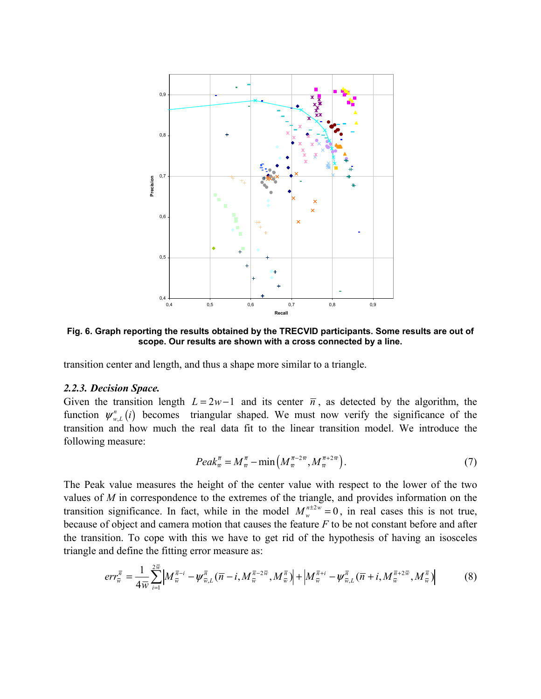

**Fig. 6. Graph reporting the results obtained by the TRECVID participants. Some results are out of scope. Our results are shown with a cross connected by a line.** 

transition center and length, and thus a shape more similar to a triangle.

#### *2.2.3. Decision Space.*

Given the transition length  $L = 2w - 1$  and its center  $\overline{n}$ , as detected by the algorithm, the function  $\psi_{w,L}^n(i)$  becomes triangular shaped. We must now verify the significance of the transition and how much the real data fit to the linear transition model. We introduce the following measure:

$$
Peak_{\overline{w}}^{\overline{n}} = M_{\overline{w}}^{\overline{n}} - \min\left(M_{\overline{w}}^{\overline{n}-2\overline{w}}, M_{\overline{w}}^{\overline{n}+2\overline{w}}\right).
$$
\n<sup>(7)</sup>

The Peak value measures the height of the center value with respect to the lower of the two values of *M* in correspondence to the extremes of the triangle, and provides information on the transition significance. In fact, while in the model  $M_w^{n \pm 2w} = 0$ , in real cases this is not true, because of object and camera motion that causes the feature *F* to be not constant before and after the transition. To cope with this we have to get rid of the hypothesis of having an isosceles triangle and define the fitting error measure as:

$$
err_{\overline{w}}^{\overline{n}} = \frac{1}{4\overline{w}} \sum_{i=1}^{2\overline{w}} \left| M_{\overline{w}}^{\overline{n}-i} - \psi_{\overline{w},L}^{\overline{n}} (\overline{n}-i, M_{\overline{w}}^{\overline{n}-2\overline{w}}, M_{\overline{w}}^{\overline{n}}) \right| + \left| M_{\overline{w}}^{\overline{n}+i} - \psi_{\overline{w},L}^{\overline{n}} (\overline{n}+i, M_{\overline{w}}^{\overline{n}+2\overline{w}}, M_{\overline{w}}^{\overline{n}}) \right| \tag{8}
$$